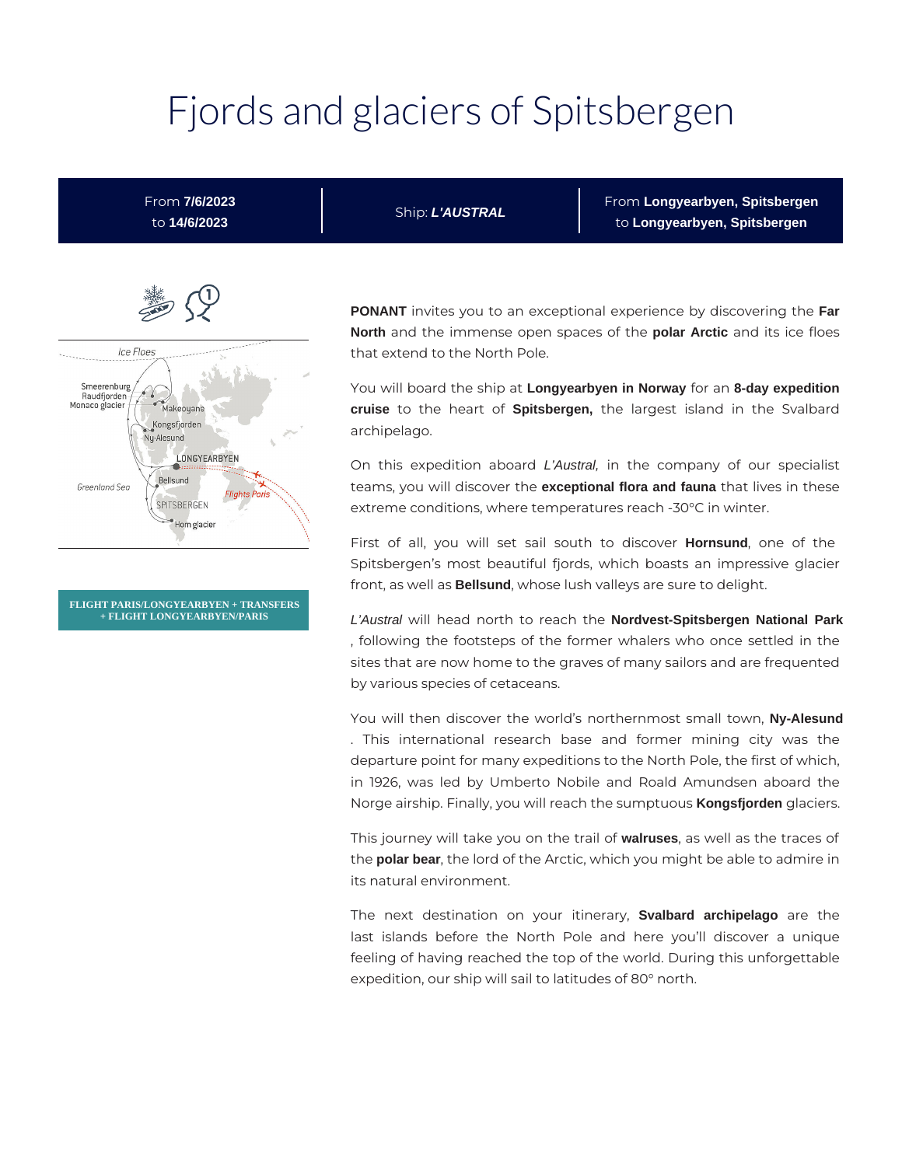# Fjords and glaciers of Spitsbergen

From **7/6/2023** to **14/6/2023**

Ship: **L'AUSTRAL**

From **Longyearbyen, Spitsbergen** to **Longyearbyen, Spitsbergen**



**FLIGHT PARIS/LONGYEARBYEN + TRANSFERS + FLIGHT LONGYEARBYEN/PARIS**

**PONANT** invites you to an exceptional experience by discovering the **Far North** and the immense open spaces of the **polar Arctic** and its ice floes that extend to the North Pole.

You will board the ship at **Longyearbyen in Norway** for an **8-day expedition cruise** to the heart of **Spitsbergen,** the largest island in the Svalbard archipelago.

On this expedition aboard L'Austral, in the company of our specialist teams, you will discover the **exceptional flora and fauna** that lives in these extreme conditions, where temperatures reach -30°C in winter.

First of all, you will set sail south to discover **Hornsund**, one of the Spitsbergen's most beautiful fjords, which boasts an impressive glacier front, as well as **Bellsund**, whose lush valleys are sure to delight.

L'Austral will head north to reach the **Nordvest-Spitsbergen National Park** , following the footsteps of the former whalers who once settled in the sites that are now home to the graves of many sailors and are frequented by various species of cetaceans.

You will then discover the world's northernmost small town, **Ny-Alesund** . This international research base and former mining city was the departure point for many expeditions to the North Pole, the first of which, in 1926, was led by Umberto Nobile and Roald Amundsen aboard the Norge airship. Finally, you will reach the sumptuous **Kongsfjorden** glaciers.

This journey will take you on the trail of **walruses**, as well as the traces of the **polar bear**, the lord of the Arctic, which you might be able to admire in its natural environment.

The next destination on your itinerary, **Svalbard archipelago** are the last islands before the North Pole and here you'll discover a unique feeling of having reached the top of the world. During this unforgettable expedition, our ship will sail to latitudes of 80° north.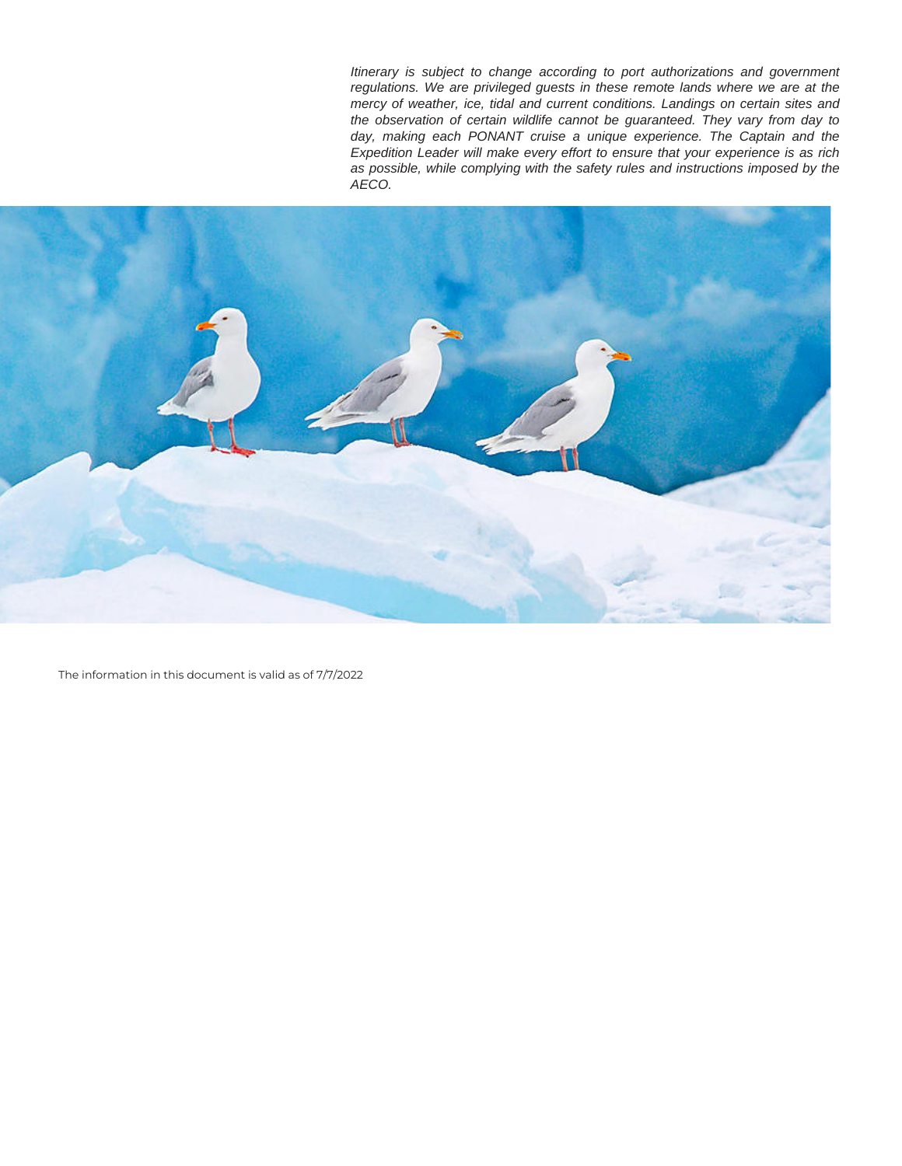Itinerary is subject to change according to port authorizations and government regulations. We are privileged guests in these remote lands where we are at the mercy of weather, ice, tidal and current conditions. Landings on certain sites and the observation of certain wildlife cannot be guaranteed. They vary from day to day, making each PONANT cruise a unique experience. The Captain and the Expedition Leader will make every effort to ensure that your experience is as rich as possible, while complying with the safety rules and instructions imposed by the AECO.



The information in this document is valid as of 7/7/2022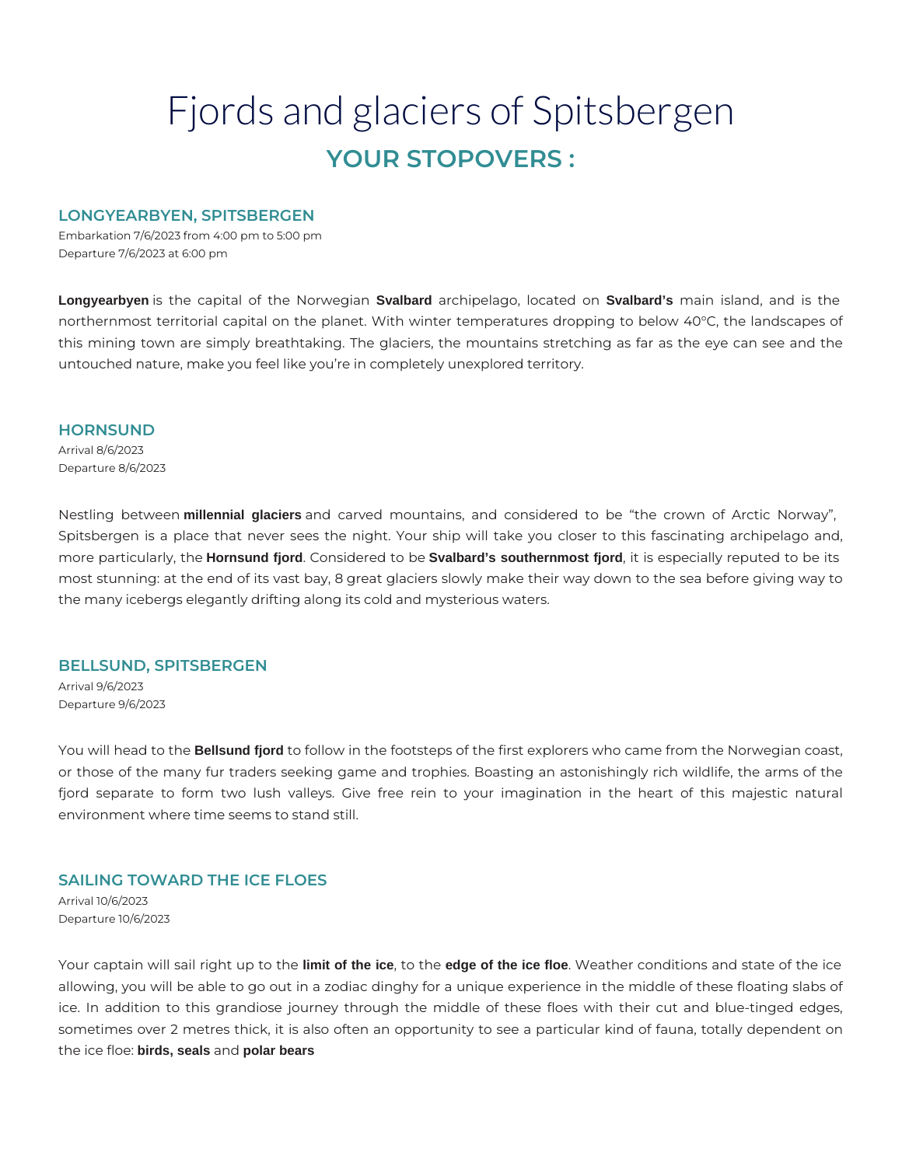# Fjords and glaciers of Spitsbergen **YOUR STOPOVERS :**

# **LONGYEARBYEN, SPITSBERGEN**

Embarkation 7/6/2023 from 4:00 pm to 5:00 pm Departure 7/6/2023 at 6:00 pm

**Longyearbyen** is the capital of the Norwegian **Svalbard** archipelago, located on **Svalbard's** main island, and is the northernmost territorial capital on the planet. With winter temperatures dropping to below 40°C, the landscapes of this mining town are simply breathtaking. The glaciers, the mountains stretching as far as the eye can see and the untouched nature, make you feel like you're in completely unexplored territory.

#### **HORNSUND**

Arrival 8/6/2023 Departure 8/6/2023

Nestling between **millennial glaciers** and carved mountains, and considered to be "the crown of Arctic Norway", Spitsbergen is a place that never sees the night. Your ship will take you closer to this fascinating archipelago and, more particularly, the **Hornsund fjord**. Considered to be **Svalbard's southernmost fjord**, it is especially reputed to be its most stunning: at the end of its vast bay, 8 great glaciers slowly make their way down to the sea before giving way to the many icebergs elegantly drifting along its cold and mysterious waters.

#### **BELLSUND, SPITSBERGEN**

Arrival 9/6/2023 Departure 9/6/2023

You will head to the **Bellsund fjord** to follow in the footsteps of the first explorers who came from the Norwegian coast, or those of the many fur traders seeking game and trophies. Boasting an astonishingly rich wildlife, the arms of the fjord separate to form two lush valleys. Give free rein to your imagination in the heart of this majestic natural environment where time seems to stand still.

## **SAILING TOWARD THE ICE FLOES**

Arrival 10/6/2023 Departure 10/6/2023

Your captain will sail right up to the **limit of the ice**, to the **edge of the ice floe**. Weather conditions and state of the ice allowing, you will be able to go out in a zodiac dinghy for a unique experience in the middle of these floating slabs of ice. In addition to this grandiose journey through the middle of these floes with their cut and blue-tinged edges, sometimes over 2 metres thick, it is also often an opportunity to see a particular kind of fauna, totally dependent on the ice floe: **birds, seals** and **polar bears**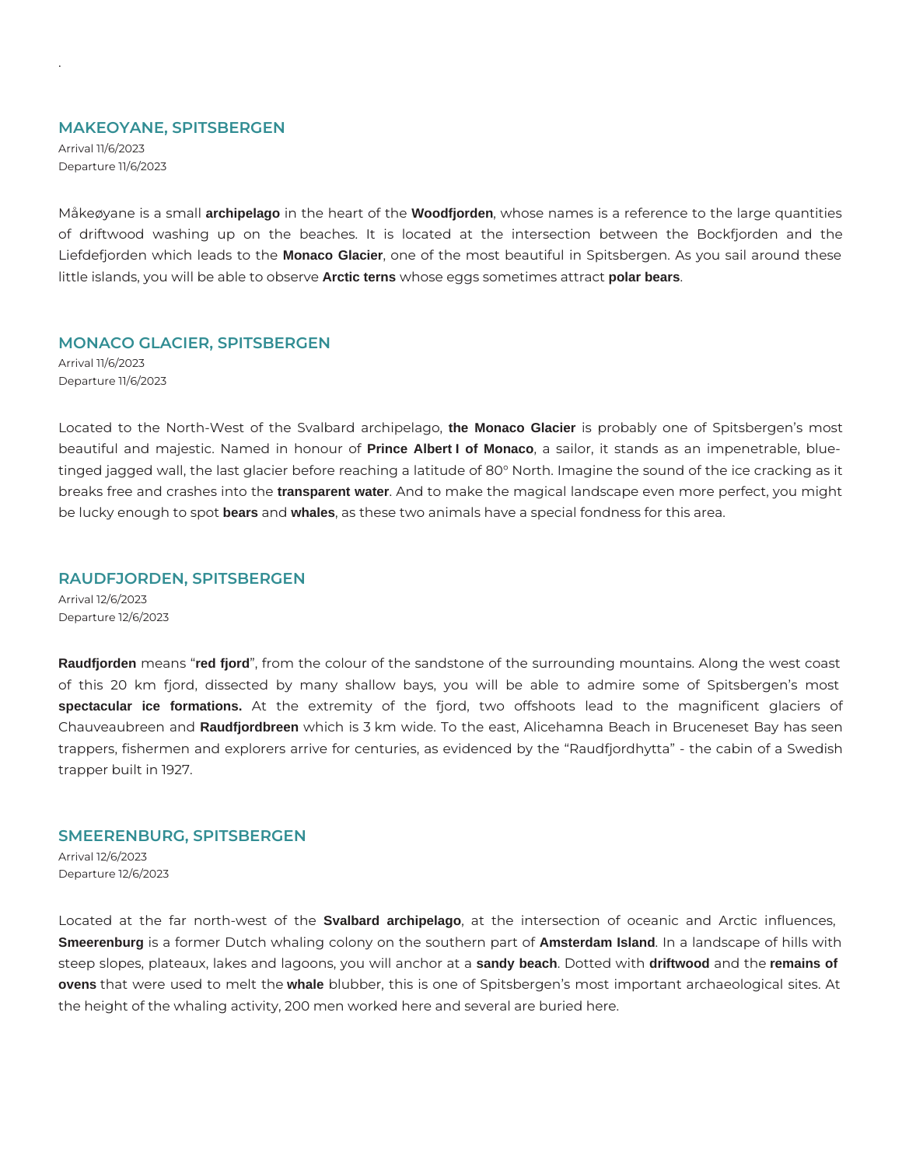#### **MAKEOYANE, SPITSBERGEN**

Arrival 11/6/2023 Departure 11/6/2023

.

Måkeøyane is a small **archipelago** in the heart of the **Woodfjorden**, whose names is a reference to the large quantities of driftwood washing up on the beaches. It is located at the intersection between the Bockfjorden and the Liefdefjorden which leads to the **Monaco Glacier**, one of the most beautiful in Spitsbergen. As you sail around these little islands, you will be able to observe **Arctic terns** whose eggs sometimes attract **polar bears**.

#### **MONACO GLACIER, SPITSBERGEN**

Arrival 11/6/2023 Departure 11/6/2023

Located to the North-West of the Svalbard archipelago, **the Monaco Glacier** is probably one of Spitsbergen's most beautiful and majestic. Named in honour of **Prince Albert I of Monaco**, a sailor, it stands as an impenetrable, bluetinged jagged wall, the last glacier before reaching a latitude of 80° North. Imagine the sound of the ice cracking as it breaks free and crashes into the **transparent water**. And to make the magical landscape even more perfect, you might be lucky enough to spot **bears** and **whales**, as these two animals have a special fondness for this area.

## **RAUDFJORDEN, SPITSBERGEN**

Arrival 12/6/2023 Departure 12/6/2023

**Raudfjorden** means "**red fjord**", from the colour of the sandstone of the surrounding mountains. Along the west coast of this 20 km fjord, dissected by many shallow bays, you will be able to admire some of Spitsbergen's most **spectacular ice formations.** At the extremity of the fjord, two offshoots lead to the magnificent glaciers of Chauveaubreen and **Raudfjordbreen** which is 3 km wide. To the east, Alicehamna Beach in Bruceneset Bay has seen trappers, fishermen and explorers arrive for centuries, as evidenced by the "Raudfjordhytta" - the cabin of a Swedish trapper built in 1927.

#### **SMEERENBURG, SPITSBERGEN**

Arrival 12/6/2023 Departure 12/6/2023

Located at the far north-west of the **Svalbard archipelago**, at the intersection of oceanic and Arctic influences, **Smeerenburg** is a former Dutch whaling colony on the southern part of **Amsterdam Island**. In a landscape of hills with steep slopes, plateaux, lakes and lagoons, you will anchor at a **sandy beach**. Dotted with **driftwood** and the **remains of ovens** that were used to melt the **whale** blubber, this is one of Spitsbergen's most important archaeological sites. At the height of the whaling activity, 200 men worked here and several are buried here.